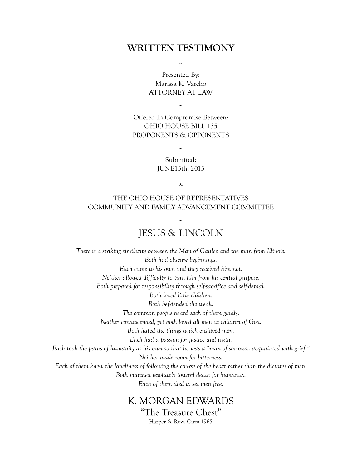## **WRITTEN TESTIMONY**

Presented By: Marissa K. Varcho ATTORNEY AT LAW

 $\tilde{a}$ 

Offered In Compromise Between: OHIO HOUSE BILL 135 PROPONENTS & OPPONENTS

 $\tilde{a}$ 

Submitted: JUNE15th, 2015

 $\tilde{a}$ 

to

#### THE OHIO HOUSE OF REPRESENTATIVES COMMUNITY AND FAMILY ADVANCEMENT COMMITTEE

## $\tilde{a}$ JESUS & LINCOLN

*There is a striking similarity between the Man of Galilee and the man from Illinois. Both had obscure beginnings. Each came to his own and they received him not. Neither allowed difficulty to turn him from his central purpose. Both prepared for responsibility through self-sacrifice and self-denial. Both loved little children. Both befriended the weak. The common people heard each of them gladly. Neither condescended, yet both loved all men as children of God. Both hated the things which enslaved men. Each had a passion for justice and truth. Each took the pains of humanity as his own so that he was a "man of sorrows…acquainted with grief." Neither made room for bitterness. Each of them knew the loneliness of following the course of the heart rather than the dictates of men. Both marched resolutely toward death for humanity. Each of them died to set men free.* 

# K. MORGAN EDWARDS "The Treasure Chest"

Harper & Row, Circa 1965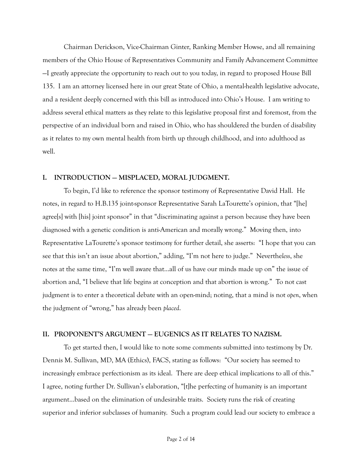Chairman Derickson, Vice-Chairman Ginter, Ranking Member Howse, and all remaining members of the Ohio House of Representatives Community and Family Advancement Committee —I greatly appreciate the opportunity to reach out to you today, in regard to proposed House Bill 135. I am an attorney licensed here in our great State of Ohio, a mental-health legislative advocate, and a resident deeply concerned with this bill as introduced into Ohio's House. I am writing to address several ethical matters as they relate to this legislative proposal first and foremost, from the perspective of an individual born and raised in Ohio, who has shouldered the burden of disability as it relates to my own mental health from birth up through childhood, and into adulthood as well.

#### **I. INTRODUCTION — MISPLACED, MORAL JUDGMENT.**

To begin, I'd like to reference the sponsor testimony of Representative David Hall. He notes, in regard to H.B.135 joint-sponsor Representative Sarah LaTourette's opinion, that "[he] agree[s] with [his] joint sponsor" in that "discriminating against a person because they have been diagnosed with a genetic condition is anti-American and morally wrong." Moving then, into Representative LaTourette's sponsor testimony for further detail, she asserts: "I hope that you can see that this isn't an issue about abortion," adding, "I'm not here to judge." Neverthe*less*, she notes at the same time, "I'm well aware that…all of us have our minds made up on" the issue of abortion and, "I believe that life begins at conception and that abortion is wrong." To not cast judgment is to enter a theoretical debate with an open-mind; noting, that a mind is not *open*, when the judgment of "wrong," has already been *placed*.

#### **II. PROPONENT'S ARGUMENT — EUGENICS AS IT RELATES TO NAZISM.**

 To get started then, I would like to note some comments submitted into testimony by Dr. Dennis M. Sullivan, MD, MA (Ethics), FACS, stating as follows: "Our society has seemed to increasingly embrace perfectionism as its ideal. There are deep ethical implications to all of this." I agree, noting further Dr. Sullivan's elaboration, "[t]he perfecting of humanity is an important argument…based on the elimination of undesirable traits. Society runs the risk of creating superior and inferior subclasses of humanity. Such a program could lead our society to embrace a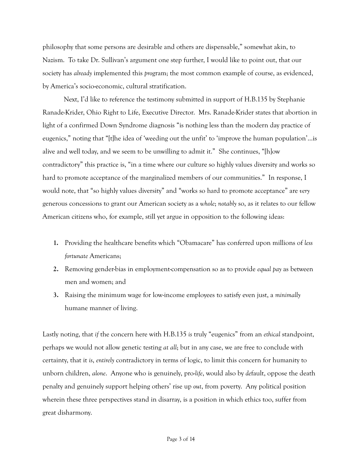philosophy that some persons are desirable and others are dispensable," somewhat akin, to Nazism. To take Dr. Sullivan's argument one step further, I would like to point out, that our society has *already* implemented this *pro*gram; the most common example of course, as evidenced, by America's socio-economic, cultural stratification.

 Next, I'd like to reference the testimony submitted in support of H.B.135 by Stephanie Ranade-Krider, Ohio Right to Life, Executive Director. Mrs. Ranade-Krider states that abortion in light of a confirmed Down Syndrome diagnosis "is nothing less than the modern day practice of eugenics," noting that "[t]he idea of 'weeding out the unfit' to 'improve the human population'…is alive and well today, and we seem to be unwilling to admit it." She continues, "[h]ow contradictory" this practice is, "in a time where our culture so highly values diversity and works so hard to promote acceptance of the marginalized members of our communities." In response, I would note, that "so highly values diversity" and "works so hard to promote acceptance" are *very* generous concessions to grant our American society as a *whole*; *notably* so, as it relates to our fellow American citizens who, for example, still yet argue in opposition to the following ideas:

- **1.** Providing the healthcare benefits which "Obamacare" has conferred upon millions of *less fortunate* Americans;
- **2.** Removing gender-bias in employment-compensation so as to provide *equal pay* as between men and women; and
- **3.** Raising the minimum wage for low-income employees to satisfy even just, a *minimally* humane manner of living.

Lastly noting, that *if* the concern here with H.B.135 *is* truly "eugenics" from an *ethical* standpoint, perhaps we would not allow genetic testing *at all*; but in any case, we are free to conclude with certainty, that it *is*, *entirely* contradictory in terms of logic, to limit this concern for humanity to unborn children, *alone*. Anyone who is genuinely, pro-*life*, would also by *de*fault, oppose the death penalty and genuinely support helping others' rise up *out*, from poverty. Any political position wherein these three perspectives stand in disarray, is a position in which ethics too, suffer from great disharmony.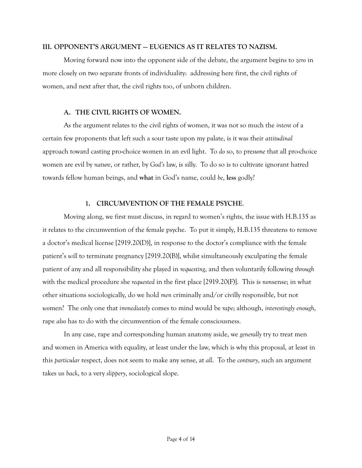#### **III. OPPONENT'S ARGUMENT — EUGENICS AS IT RELATES TO NAZISM.**

 Moving forward now into the opponent side of the debate, the argument begins to *zero* in more closely on two separate fronts of individuality: addressing here first, the civil rights of women, and next after that, the civil rights too, of unborn children.

#### **A. THE CIVIL RIGHTS OF WOMEN.**

As the argument relates to the civil rights of women, it was not so much the *intent* of a certain few proponents that left such a sour taste upon my palate, is it was their *attitudinal* approach toward casting pro-choice women in an evil light. To *do* so, to pre*sume* that all pro-choice women are evil by *nature*, or rather, by *God's* law, is silly. To do so is to cultivate ignorant hatred towards fellow human beings, and **what** in God's name, could *be*, **less** godly?

#### **1. CIRCUMVENTION OF THE FEMALE PSYCHE**.

 Moving along, we first must discuss, in regard to women's rights, the issue with H.B.135 as it relates to the circumvention of the female psyche. To put it simply, H.B.135 threatens to remove a doctor's medical license [2919.20(D)], in response to the doctor's compliance with the female patient's *will* to terminate pregnancy [2919.20(B)], whilst simultaneously exculpating the female patient of any and all responsibility she played in *requesting*, and then voluntarily following *through* with the medical procedure she *requested* in the first place [2919.20(F)]. This is *non*sense; in what other situations sociologically, do we hold *men* criminally and/or civilly responsible, but not *wo*men? The only one that *immediately* comes to mind would be *rape*; although, *interestingly enough*, rape *also* has to do with the circumvention of the female consciousness.

 In any case, rape and corresponding human anatomy aside, we *generally* try to treat men and women in America with equality, at least under the law, which is why this proposal, at least in this *particular* respect, does not seem to make any sense, at *all*. To the *contrary*, such an argument takes us *back*, to a very *slippery*, sociological slope.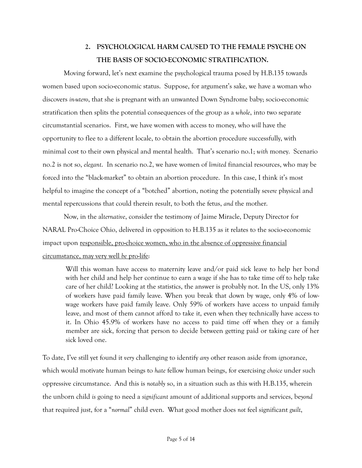## **2. PSYCHOLOGICAL HARM CAUSED TO THE FEMALE PSYCHE ON THE BASIS OF SOCIO-ECONOMIC STRATIFICATION.**

 Moving forward, let's next examine the psychological trauma posed by H.B.135 towards women based upon socio-economic status. Suppose, for argument's sake, we have a woman who discovers *in-utero*, that she is pregnant with an unwanted Down Syndrome baby; socio-economic stratification then splits the potential consequences of the group as a *whole*, into two separate circumstantial scenarios. First, we have women with access to money, who *will* have the opportunity to flee to a different locale, to obtain the abortion procedure successfully, with minimal cost to their own physical and mental health. That's scenario no.1; *with* money. Scenario no.2 is not so, *elegant*. In scenario no.2, we have women of *limited* financial resources, who may be forced into the "black-market" to obtain an abortion procedure. In this case, I think it's most helpful to imagine the concept of a "botched" abortion, noting the potentially se*vere* physical and mental repercussions that could therein result, to both the fetus, *and* the mother.

 Now, in the al*ternative*, consider the testimony of Jaime Miracle, Deputy Director for NARAL Pro-Choice Ohio, delivered in opposition to H.B.135 as it relates to the socio-economic impact upon responsible, pro-choice women, who in the absence of oppressive financial circumstance, may very well *be* pro-life:

Will this woman have access to maternity leave and/or paid sick leave to help her bond with her child and help her continue to earn a wage if she has to take time off to help take care of her child? Looking at the statistics, the answer is probably not. In the US, only 13% of workers have paid family leave. When you break that down by wage, only 4% of lowwage workers have paid family leave. Only 59% of workers have access to unpaid family leave, and most of them cannot afford to take it, even when they technically have access to it. In Ohio 45.9% of workers have no access to paid time off when they or a family member are sick, forcing that person to decide between getting paid or taking care of her sick loved one.

To date, I've still yet found it *very* challenging to identify *any* other reason aside from *ig*norance, which would motivate human beings to *hate* fellow human beings, for exercising *choice* under such oppressive circumstance. And this is *notably* so, in a situation such as this with H.B.135, wherein the unborn child *is* going to need a *significant* amount of additional supports and services, be*yond* that required just, for a "*normal*" child even. What good mother does *not* feel significant *guilt*,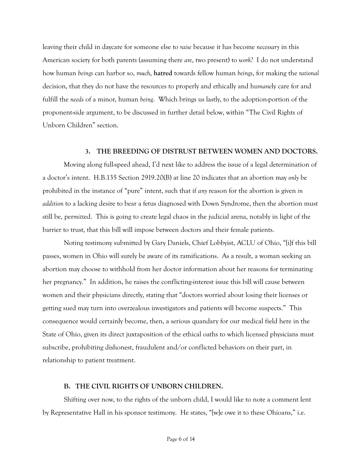leaving their child in daycare for someone else to *raise* because it has become *necessary* in this American society for both parents (assuming there *are*, two present) to *work*? I do not understand how human *beings* can harbor so, *much*, **hatred** towards fellow human *beings*, for making the *rational* decision, that they do not have the resources to properly and ethically and hu*mane*ly care for and fulfill the *needs* of a minor, human *being*. Which brings us lastly, to the adoption-portion of the proponent-side argument, to be discussed in further detail below, within "The Civil Rights of Unborn Children" section.

#### **3. THE BREEDING OF DISTRUST BETWEEN WOMEN AND DOCTORS.**

 Moving along full-speed ahead, I'd next like to address the issue of a legal determination of a doctor's intent. H.B.135 Section 2919.20(B) at line 20 indicates that an abortion may *only* be prohibited in the instance of "pure" intent, such that if *any* reason for the abortion is given *in addition* to a lacking desire to bear a fetus diagnosed with Down Syndrome, then the abortion must still be, per*mitt*ed. This is going to create legal chaos in the judicial arena, notably in light of the barrier to trust, that this bill will impose between doctors and their female patients.

 Noting testimony submitted by Gary Daniels, Chief Lobbyist, ACLU of Ohio, "[i]f this bill passes, women in Ohio will surely be aware of its ramifications. As a result, a woman seeking an abortion may choose to withhold from her doctor information about her reasons for terminating her pregnancy." In addition, he raises the conflicting-interest issue this bill will cause between women and their physicians directly, stating that "doctors worried about losing their licenses or getting sued may turn into overzealous investigators and patients will become suspects." This consequence would certainly become, then, a serious quandary for our medical field here in the State of Ohio, given its direct juxtaposition of the ethical oaths to which licensed physicians must subscribe, prohibiting dishonest, fraudulent and/or conflicted behaviors on their part, in relationship to patient treatment.

#### **B. THE CIVIL RIGHTS OF UNBORN CHILDREN.**

 Shifting over now, to the rights of the unborn child, I would like to note a comment lent by Representative Hall in his sponsor testimony. He states, "[w]e owe it to these Ohioans," i.e.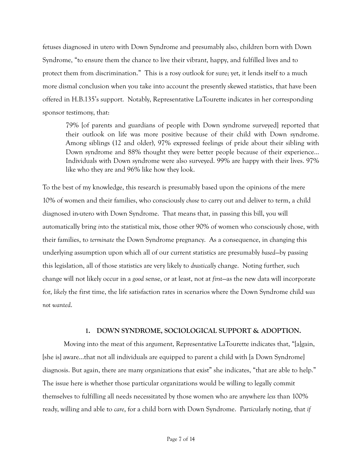fetuses diagnosed in utero with Down Syndrome and presumably also, children born with Down Syndrome, "to ensure them the chance to live their vibrant, happy, and fulfilled lives and to protect them from discrimination." This is a rosy outlook for sure; yet, it lends itself to a much more dismal conclusion when you take into account the presently skewed statistics, that have been offered in H.B.135's support. Notably, Representative LaTourette indicates in her corresponding sponsor testimony, that:

79% [of parents and guardians of people with Down syndrome surveyed] reported that their outlook on life was more positive because of their child with Down syndrome. Among siblings (12 and older), 97% expressed feelings of pride about their sibling with Down syndrome and 88% thought they were better people because of their experience… Individuals with Down syndrome were also surveyed. 99% are happy with their lives. 97% like who they are and 96% like how they look.

To the best of my knowledge, this research is presumably based upon the opinions of the mere 10% of women and their families, who consciously *chose* to carry out and deliver to term, a child diagnosed in-utero with Down Syndrome. That means that, in passing this bill, you will automatically bring *in*to the statistical mix, those other 90% of women who consciously chose, with their families, to *terminate* the Down Syndrome pregnancy. As a consequence, in changing this underlying assumption upon which all of our current statistics are presumably *based*—by passing this legislation, all of those statistics are very likely to *drastically* change. Noting further, such change will not likely occur in a *good* sense, or at least, not at *first*—as the new data will incorporate for, *likely* the first time, the life satisfaction rates in scenarios where the Down Syndrome child *was not wanted*.

#### **1. DOWN SYNDROME, SOCIOLOGICAL SUPPORT & ADOPTION.**

Moving into the meat of this argument, Representative LaTourette indicates that, "[a]gain, [she is] aware…that not all individuals are equipped to parent a child with [a Down Syndrome] diagnosis. But again, there are many organizations that exist" she indicates, "that are able to help." The issue here is whether those particular organizations would be willing to legally commit themselves to fulfilling all needs necessitated by those women who are anywhere *less* than 100% ready, willing and able to *care*, for a child born with Down Syndrome. Par*tic*ularly noting, that *if*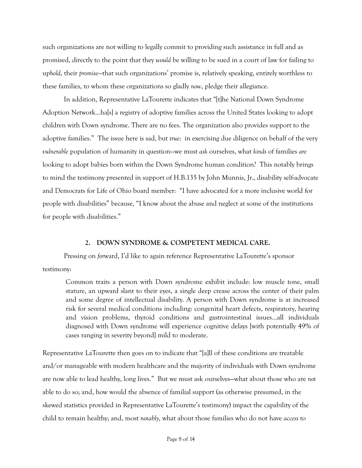such organizations are not willing to legally commit to providing such assistance in full and as promised, directly to the point that they *would* be willing to be sued in a court of law for failing to up*hold*, their *promise*—that such organizations' promise is, relatively speaking, entirely worthless to these families, to whom these organizations so gladly *now*, pledge their allegiance.

 In addition, Representative LaTourette indicates that "[t]he National Down Syndrome Adoption Network…ha[s] a registry of adoptive families across the United States looking to adopt children with Down syndrome. There are no fees. The organization also provides support to the adoptive families." The issue here is sad, but *true*: in exercising due diligence on behalf of the very *vulnerable* population of humanity in question—we must *ask* ourselves, what *kinds* of families *are* looking to adopt babies born within the Down Syndrome human condition? This notably brings to mind the testimony presented in support of H.B.135 by John Munnis, Jr., disability self-advocate and Democrats for Life of Ohio board member: "I have advocated for a more inclusive world for people with disabilities" because, "I know about the abuse and neglect at some of the institutions for people with disabilities."

#### **2. DOWN SYNDROME & COMPETENT MEDICAL CARE.**

Pressing on *for*ward, I'd like to again reference Representative LaTourette's sponsor testimony:

Common traits a person with Down syndrome exhibit include: low muscle tone, small stature, an upward slant to their eyes, a single deep crease across the center of their palm and some degree of intellectual disability. A person with Down syndrome is at increased risk for several medical conditions including: congenital heart defects, respiratory, hearing and vision problems, thyroid conditions and gastrointestinal issues…all individuals diagnosed with Down syndrome will experience cognitive delays [with potentially 49% of cases ranging in severity beyond] mild to moderate.

Representative LaTourette then goes on to indicate that "[a]ll of these conditions are treatable and/or manageable with modern healthcare and the majority of individuals with Down syndrome are now able to lead healthy, long lives." But we must ask ourselves—what about those who are *not* able to do so; and, how would the absence of familial support (as otherwise presumed, in the skewed statistics provided in Representative LaTourette's testimony) impact the capability of the child to remain healthy; and, most *notably*, what about those families who do not have *access* to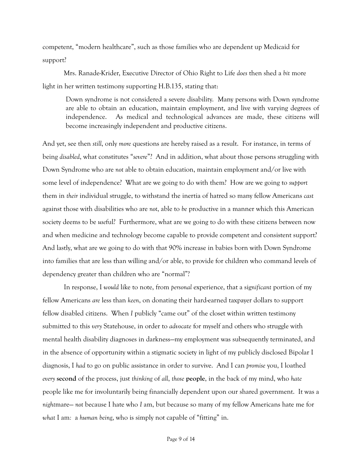competent, "modern healthcare", such as those families who are dependent up Medicaid for support?

 Mrs. Ranade-Krider, Executive Director of Ohio Right to Life *does* then shed a *bit* more light in her written testimony supporting H.B.135, stating that:

Down syndrome is not considered a severe disability. Many persons with Down syndrome are able to obtain an education, maintain employment, and live with varying degrees of independence. As medical and technological advances are made, these citizens will become increasingly independent and productive citizens.

And yet, see then *still*, only *more* questions are hereby raised as a result. For instance, in terms of being *disabled*, what constitutes "*severe*"? And in addition, what about those persons struggling with Down Syndrome who are *not* able to obtain education, maintain employment and/or live with some level of independence? What are we going to do with them? How are we going to *support* them in *their* individual struggle, to withstand the inertia of hatred so many fellow Americans *cast* against those with disabilities who are *not*, able to *be* productive in a manner which this American society deems to be *use*ful? Furthermore, what are we going to do with these citizens between now and when medicine and technology become capable to provide competent and consistent support? And lastly, what are we going to do with that 90% increase in babies born with Down Syndrome into families that are less than willing and/or able, to provide for children who command levels of dependency greater than children who are "normal"?

 In response, I *would* like to note, from *personal* experience, that a sig*nificant* portion of my fellow Americans *are* less than *keen*, on donating their hard-earned taxpayer dollars to support fellow disabled citizens. When *I* publicly "came out" of the closet within written testimony submitted to this *very* Statehouse, in order to *advocate* for myself and others who struggle with mental health disability diagnoses in darkness—my employment was subsequently terminated, and in the absence of opportunity within a stigmatic society in light of my publicly disclosed Bipolar I diagnosis, I *had* to go on public assistance in order to survive. And I can *promise* you, I loathed *every* **second** of the process, just *thinking* of *all*, *those* **people**, in the back of my mind, who *hate* people like me for involuntarily being financially dependent upon our shared government. It was a *night*mare— *not* because I hate who *I* am, but because so many of my fellow Americans hate me for *what* I am*:* a *human being*, who is simply not capable of "fitting" in.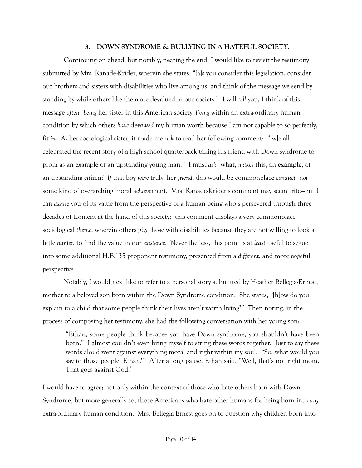#### **3. DOWN SYNDROME & BULLYING IN A HATEFUL SOCIETY.**

 Continuing on ahead, but notably, nearing the end, I would like to revisit the testimony submitted by Mrs. Ranade-Krider, wherein she states, "[a]s you consider this legislation, consider our brothers and sisters with disabilities who live among us, and think of the message we send by standing by while others like them are devalued in our society." I will *tell* you, I think of this message *often*—*being* her sister in this American society, *living* within an extra-ordinary human condition by which others *have* de*valued* my human worth because I am not capable to so perfectly, fit *in*. *As* her sociological sister, it made me *sick* to read her following comment: "[w]e all celebrated the recent story of a high school quarterback taking his friend with Down syndrome to prom as an example of an upstanding young man." I must *ask*—**what**, *makes* this, an **example**, of an upstanding *cit*izen? *If* that boy *were* truly, her *friend*, this would be commonplace *conduct*—*not* some kind of overarching moral a*chieve*ment. Mrs. Ranade-Krider's comment may seem trite—but I can *assure* you of its value from the perspective of a human being who's persevered through three decades of torment at the hand of this society: this comment displays a very commonplace sociological *theme*, wherein others *pity* those with disabilities because they are not willing to look a little *harder*, to find the value in our *existence*. Never the less, this point is at *least* useful to segue into some additional H.B.135 proponent testimony, presented from a *different*, and more *hope*ful, perspective.

 Notably, I would next like to refer to a personal story submitted by Heather Bellegia-Ernest, mother to a beloved son born within the Down Syndrome condition. She states, "[h]ow do you explain to a child that some people think their lives aren't worth living?" Then noting, in the process of composing her testimony, she had the following conversation with her young son:

"Ethan, some people think because you have Down syndrome, you shouldn't have been born." I almost couldn't even bring myself to string these words together. Just to say these words aloud went against everything moral and right within my soul. "So, what would you say to those people, Ethan?" After a long pause, Ethan said, "Well, that's not right mom. That goes against God."

I would have to agree; not only within the context of those who hate others born with Down Syndrome, but more generally so, those Americans who hate other humans for being born into *any* extra-ordinary human condition. Mrs. Bellegia-Ernest goes on to question why children born into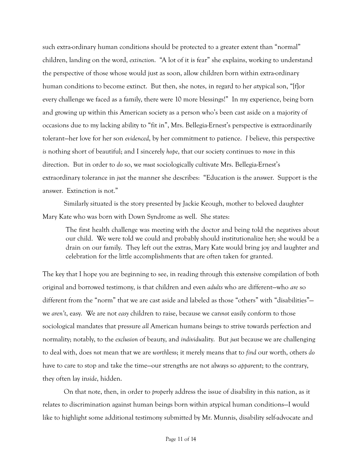such extra-ordinary human conditions should be protected to a greater extent than "normal" children, landing on the word, *extinction*. "A lot of it is fear" she explains, working to understand the perspective of those whose would just as soon, allow children born within extra-ordinary human conditions to become extinct. But then, she notes, in regard to her *a*typical son, "[f]or every challenge we faced as a family, there were 10 more blessings!" In my experience, being born and growing up within this American society as a person who's been cast aside on a majority of occasions due to my lacking ability to "fit in", Mrs. Bellegia-Ernest's perspective is extraordinarily tolerant—her love for her son *evidenced*, by her commitment to patience. *I* believe, this perspective *is* nothing short of beautiful; and I sincerely *hope*, that our society continues to *move* in this direction. But in order to *do* so, we *must* sociologically cultivate Mrs. Bellegia-Ernest's extraordinary tolerance in *just* the manner she describes: "Education is the answer. Support is the answer. Extinction is not."

 Similarly situated is the story presented by Jackie Keough, mother to beloved daughter Mary Kate who was born with Down Syndrome as well. She states:

The first health challenge was meeting with the doctor and being told the negatives about our child. We were told we could and probably should institutionalize her; she would be a drain on our family. They left out the extras, Mary Kate would bring joy and laughter and celebration for the little accomplishments that are often taken for granted.

The key that I hope you are beginning to see, in reading through this extensive compilation of both original and borrowed testimony, is that children and even *adults* who are different—who *are* so different from the "norm" that we are cast aside and labeled as those "others" with "disabilities" we *aren't*, easy. We are not *easy* children to raise, because we can*not* easily conform to those sociological mandates that pressure *all* American humans beings to strive towards perfection and normality; notably, to the *exclusion* of beauty, and *individu*ality. But *just* because we are challenging to deal with, does *not* mean that we are *worth*less; it merely means that to *find* our worth, others *do*  have to care to stop and take the time—our strengths are not always so *appar*ent; to the contrary, they often lay in*side*, hidden.

 On that note, then, in order to *prop*erly address the issue of disability in this nation, as it relates to discrimination against human beings born within atypical human conditions—I would like to highlight some additional testimony submitted by Mr. Munnis, disability self-advocate and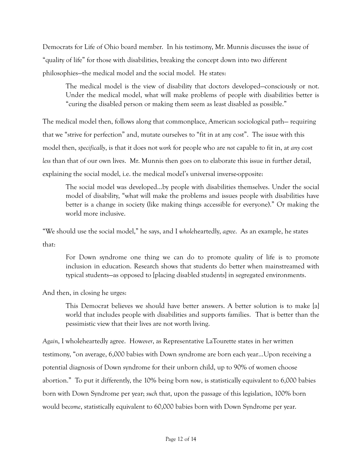Democrats for Life of Ohio board member. In his testimony, Mr. Munnis discusses the issue of "quality of life" for those with disabilities, breaking the concept down into two different philosophies—the medical model and the social model. He states:

The medical model is the view of disability that doctors developed—consciously or not. Under the medical model, what will make problems of people with disabilities better is "curing the disabled person or making them seem as least disabled as possible."

The medical model then, follows along that commonplace, American sociological path— requiring that we "strive for perfection" and, mutate ourselves to "fit in at any cost". The issue with this model then, *specifically*, is that it does not *work* for people who are *not* capable to fit in, at *any* cost *less* than that of our own lives. Mr. Munnis then goes on to elaborate this issue in further detail, explaining the social model, i.e. the medical model's universal inverse-opposite:

The social model was developed…by people with disabilities themselves. Under the social model of disability, "what will make the problems and issues people with disabilities have better is a change in society (like making things accessible for everyone)." Or making the world more inclusive.

"We should use the social model," he says, and I *whole*heartedly, *agree*. As an example, he states that:

For Down syndrome one thing we can do to promote quality of life is to promote inclusion in education. Research shows that students do better when mainstreamed with typical students—as opposed to [placing disabled students] in segregated environments.

And then, in closing he urges:

This Democrat believes we should have better answers. A better solution is to make [a] world that includes people with disabilities and supports families. That is better than the pessimistic view that their lives are not worth living.

*Again*, I wholeheartedly agree. How*ever*, as Representative LaTourette states in her written testimony, "on average, 6,000 babies with Down syndrome are born each year…Upon receiving a potential diagnosis of Down syndrome for their unborn child, up to 90% of women choose abortion." To put it differently, the 10% being born *now*, is statistically equivalent to 6,000 babies born with Down Syndrome per year; *such* that, upon the passage of this legislation, 100% born would be*come*, statistically equivalent to 60,000 babies born with Down Syndrome per year.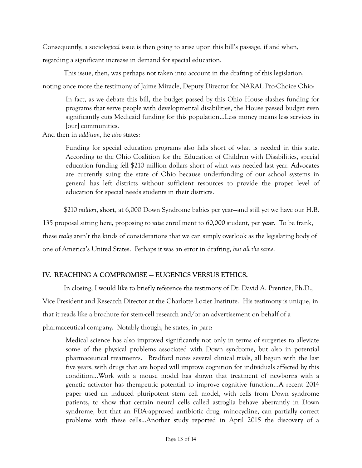Consequently, a socio*logical* issue is then going to arise upon this bill's passage, if and when,

regarding a significant increase in demand for special education.

This issue, then, was perhaps not taken into account in the drafting of this legislation,

noting once more the testimony of Jaime Miracle, Deputy Director for NARAL Pro-Choice Ohio:

In fact, as we debate this bill, the budget passed by this Ohio House slashes funding for programs that serve people with developmental disabilities, the House passed budget even significantly cuts Medicaid funding for this population…Less money means less services in [our] communities.

And then in *addition*, he *also* states:

Funding for special education programs also falls short of what is needed in this state. According to the Ohio Coalition for the Education of Children with Disabilities, special education funding fell \$210 million dollars short of what was needed last year. Advocates are currently suing the state of Ohio because underfunding of our school systems in general has left districts without sufficient resources to provide the proper level of education for special needs students in their districts.

\$210 *million*, **short**, at 6,000 Down Syndrome babies per year—and still yet we have our H.B.

135 proposal sitting here, proposing to *raise* enrollment to *60,000* student, per **year**. To be frank, these *really* aren't the kinds of considerations that we can simply overlook as the legislating body of

one of America's United States. Perhaps it was an error in drafting, *but all the same*.

### **IV. REACHING A COMPROMISE — EUGENICS VERSUS ETHICS.**

In closing, I would like to briefly reference the testimony of Dr. David A. Prentice, Ph.D.,

Vice President and Research Director at the Charlotte Lozier Institute. His testimony is unique, in

that it reads like a brochure for stem-cell research and/or an advertisement on behalf of a

pharmaceutical company. Notably though, he states, in part:

Medical science has also improved significantly not only in terms of surgeries to alleviate some of the physical problems associated with Down syndrome, but also in potential pharmaceutical treatments. Bradford notes several clinical trials, all begun with the last five years, with drugs that are hoped will improve cognition for individuals affected by this condition…Work with a mouse model has shown that treatment of newborns with a genetic activator has therapeutic potential to improve cognitive function…A recent 2014 paper used an induced pluripotent stem cell model, with cells from Down syndrome patients, to show that certain neural cells called astroglia behave aberrantly in Down syndrome, but that an FDA-approved antibiotic drug, minocycline, can partially correct problems with these cells…Another study reported in April 2015 the discovery of a